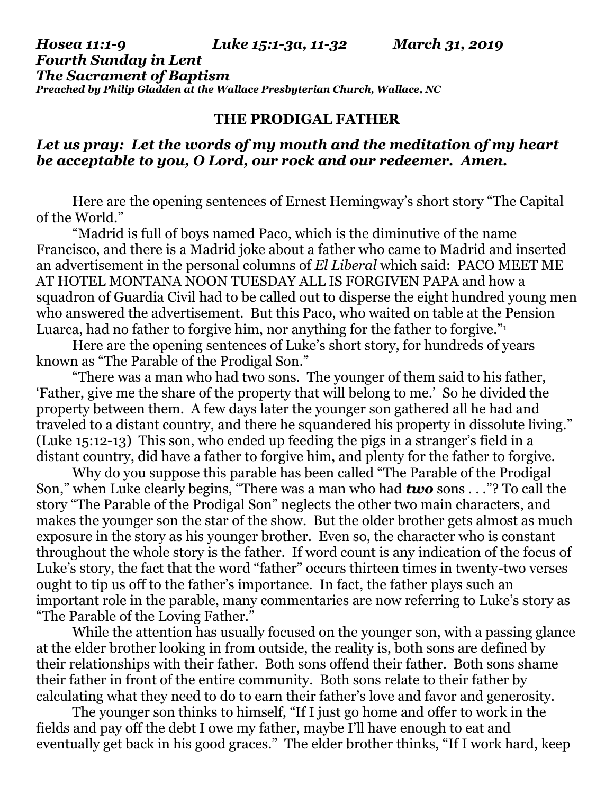#### *Hosea 11:1-9 Luke 15:1-3a, 11-32 March 31, 2019 Fourth Sunday in Lent The Sacrament of Baptism Preached by Philip Gladden at the Wallace Presbyterian Church, Wallace, NC*

### **THE PRODIGAL FATHER**

# *Let us pray: Let the words of my mouth and the meditation of my heart be acceptable to you, O Lord, our rock and our redeemer. Amen.*

Here are the opening sentences of Ernest Hemingway's short story "The Capital of the World."

"Madrid is full of boys named Paco, which is the diminutive of the name Francisco, and there is a Madrid joke about a father who came to Madrid and inserted an advertisement in the personal columns of *El Liberal* which said: PACO MEET ME AT HOTEL MONTANA NOON TUESDAY ALL IS FORGIVEN PAPA and how a squadron of Guardia Civil had to be called out to disperse the eight hundred young men who answered the advertisement. But this Paco, who waited on table at the Pension Luarca, had no father to forgive him, nor anything for the father to forgive."<sup>1</sup>

Here are the opening sentences of Luke's short story, for hundreds of years known as "The Parable of the Prodigal Son."

"There was a man who had two sons. The younger of them said to his father, 'Father, give me the share of the property that will belong to me.' So he divided the property between them. A few days later the younger son gathered all he had and traveled to a distant country, and there he squandered his property in dissolute living." (Luke 15:12-13) This son, who ended up feeding the pigs in a stranger's field in a distant country, did have a father to forgive him, and plenty for the father to forgive.

Why do you suppose this parable has been called "The Parable of the Prodigal Son," when Luke clearly begins, "There was a man who had *two* sons . . ."? To call the story "The Parable of the Prodigal Son" neglects the other two main characters, and makes the younger son the star of the show. But the older brother gets almost as much exposure in the story as his younger brother. Even so, the character who is constant throughout the whole story is the father. If word count is any indication of the focus of Luke's story, the fact that the word "father" occurs thirteen times in twenty-two verses ought to tip us off to the father's importance. In fact, the father plays such an important role in the parable, many commentaries are now referring to Luke's story as "The Parable of the Loving Father."

While the attention has usually focused on the younger son, with a passing glance at the elder brother looking in from outside, the reality is, both sons are defined by their relationships with their father. Both sons offend their father. Both sons shame their father in front of the entire community. Both sons relate to their father by calculating what they need to do to earn their father's love and favor and generosity.

The younger son thinks to himself, "If I just go home and offer to work in the fields and pay off the debt I owe my father, maybe I'll have enough to eat and eventually get back in his good graces." The elder brother thinks, "If I work hard, keep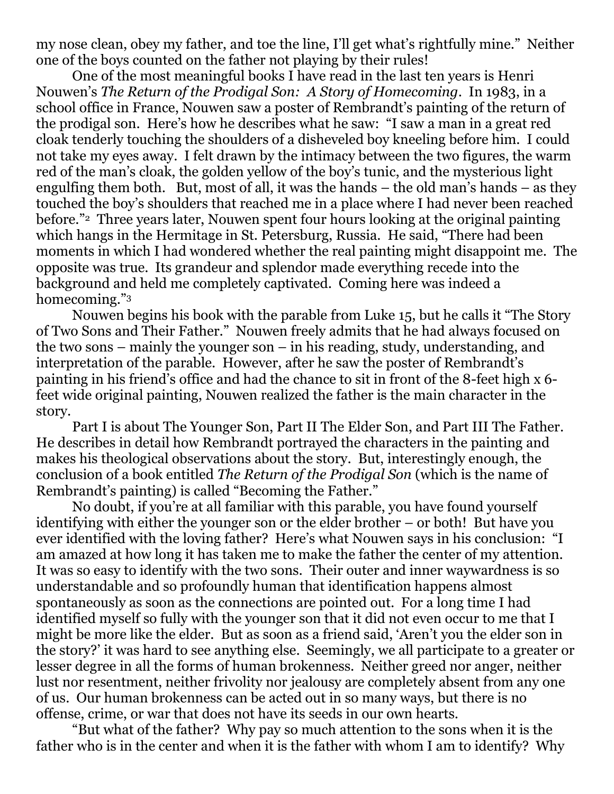my nose clean, obey my father, and toe the line, I'll get what's rightfully mine." Neither one of the boys counted on the father not playing by their rules!

One of the most meaningful books I have read in the last ten years is Henri Nouwen's *The Return of the Prodigal Son: A Story of Homecoming*. In 1983, in a school office in France, Nouwen saw a poster of Rembrandt's painting of the return of the prodigal son. Here's how he describes what he saw: "I saw a man in a great red cloak tenderly touching the shoulders of a disheveled boy kneeling before him. I could not take my eyes away. I felt drawn by the intimacy between the two figures, the warm red of the man's cloak, the golden yellow of the boy's tunic, and the mysterious light engulfing them both. But, most of all, it was the hands – the old man's hands – as they touched the boy's shoulders that reached me in a place where I had never been reached before."2 Three years later, Nouwen spent four hours looking at the original painting which hangs in the Hermitage in St. Petersburg, Russia. He said, "There had been moments in which I had wondered whether the real painting might disappoint me. The opposite was true. Its grandeur and splendor made everything recede into the background and held me completely captivated. Coming here was indeed a homecoming."<sup>3</sup>

Nouwen begins his book with the parable from Luke 15, but he calls it "The Story of Two Sons and Their Father." Nouwen freely admits that he had always focused on the two sons – mainly the younger son – in his reading, study, understanding, and interpretation of the parable. However, after he saw the poster of Rembrandt's painting in his friend's office and had the chance to sit in front of the 8-feet high x 6 feet wide original painting, Nouwen realized the father is the main character in the story.

Part I is about The Younger Son, Part II The Elder Son, and Part III The Father. He describes in detail how Rembrandt portrayed the characters in the painting and makes his theological observations about the story. But, interestingly enough, the conclusion of a book entitled *The Return of the Prodigal Son* (which is the name of Rembrandt's painting) is called "Becoming the Father."

No doubt, if you're at all familiar with this parable, you have found yourself identifying with either the younger son or the elder brother – or both! But have you ever identified with the loving father? Here's what Nouwen says in his conclusion: "I am amazed at how long it has taken me to make the father the center of my attention. It was so easy to identify with the two sons. Their outer and inner waywardness is so understandable and so profoundly human that identification happens almost spontaneously as soon as the connections are pointed out. For a long time I had identified myself so fully with the younger son that it did not even occur to me that I might be more like the elder. But as soon as a friend said, 'Aren't you the elder son in the story?' it was hard to see anything else. Seemingly, we all participate to a greater or lesser degree in all the forms of human brokenness. Neither greed nor anger, neither lust nor resentment, neither frivolity nor jealousy are completely absent from any one of us. Our human brokenness can be acted out in so many ways, but there is no offense, crime, or war that does not have its seeds in our own hearts.

"But what of the father? Why pay so much attention to the sons when it is the father who is in the center and when it is the father with whom I am to identify? Why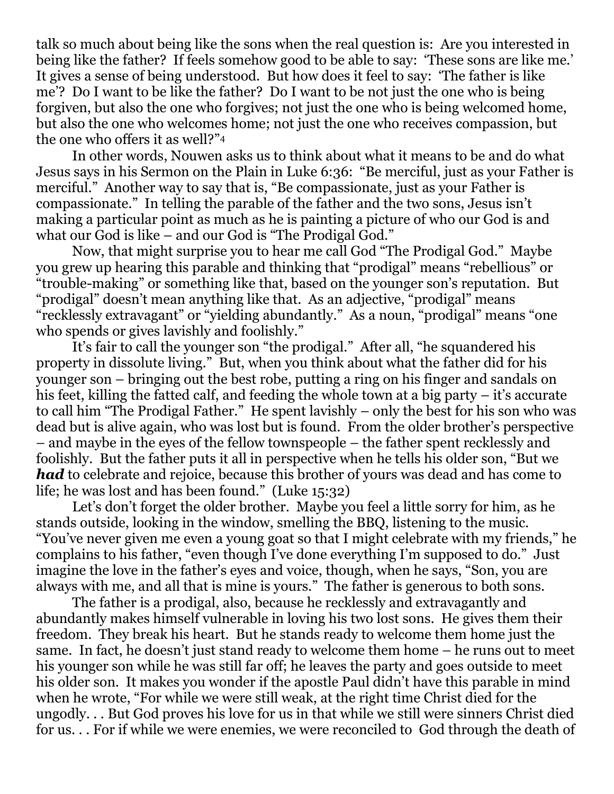talk so much about being like the sons when the real question is: Are you interested in being like the father? If feels somehow good to be able to say: 'These sons are like me.' It gives a sense of being understood. But how does it feel to say: 'The father is like me'? Do I want to be like the father? Do I want to be not just the one who is being forgiven, but also the one who forgives; not just the one who is being welcomed home, but also the one who welcomes home; not just the one who receives compassion, but the one who offers it as well?"<sup>4</sup>

In other words, Nouwen asks us to think about what it means to be and do what Jesus says in his Sermon on the Plain in Luke 6:36: "Be merciful, just as your Father is merciful." Another way to say that is, "Be compassionate, just as your Father is compassionate." In telling the parable of the father and the two sons, Jesus isn't making a particular point as much as he is painting a picture of who our God is and what our God is like – and our God is "The Prodigal God."

Now, that might surprise you to hear me call God "The Prodigal God." Maybe you grew up hearing this parable and thinking that "prodigal" means "rebellious" or "trouble-making" or something like that, based on the younger son's reputation. But "prodigal" doesn't mean anything like that. As an adjective, "prodigal" means "recklessly extravagant" or "yielding abundantly." As a noun, "prodigal" means "one who spends or gives lavishly and foolishly."

It's fair to call the younger son "the prodigal." After all, "he squandered his property in dissolute living." But, when you think about what the father did for his younger son – bringing out the best robe, putting a ring on his finger and sandals on his feet, killing the fatted calf, and feeding the whole town at a big party – it's accurate to call him "The Prodigal Father." He spent lavishly – only the best for his son who was dead but is alive again, who was lost but is found. From the older brother's perspective – and maybe in the eyes of the fellow townspeople – the father spent recklessly and foolishly. But the father puts it all in perspective when he tells his older son, "But we *had* to celebrate and rejoice, because this brother of yours was dead and has come to life; he was lost and has been found." (Luke 15:32)

Let's don't forget the older brother. Maybe you feel a little sorry for him, as he stands outside, looking in the window, smelling the BBQ, listening to the music. "You've never given me even a young goat so that I might celebrate with my friends," he complains to his father, "even though I've done everything I'm supposed to do." Just imagine the love in the father's eyes and voice, though, when he says, "Son, you are always with me, and all that is mine is yours." The father is generous to both sons.

The father is a prodigal, also, because he recklessly and extravagantly and abundantly makes himself vulnerable in loving his two lost sons. He gives them their freedom. They break his heart. But he stands ready to welcome them home just the same. In fact, he doesn't just stand ready to welcome them home – he runs out to meet his younger son while he was still far off; he leaves the party and goes outside to meet his older son. It makes you wonder if the apostle Paul didn't have this parable in mind when he wrote, "For while we were still weak, at the right time Christ died for the ungodly. . . But God proves his love for us in that while we still were sinners Christ died for us. . . For if while we were enemies, we were reconciled to God through the death of